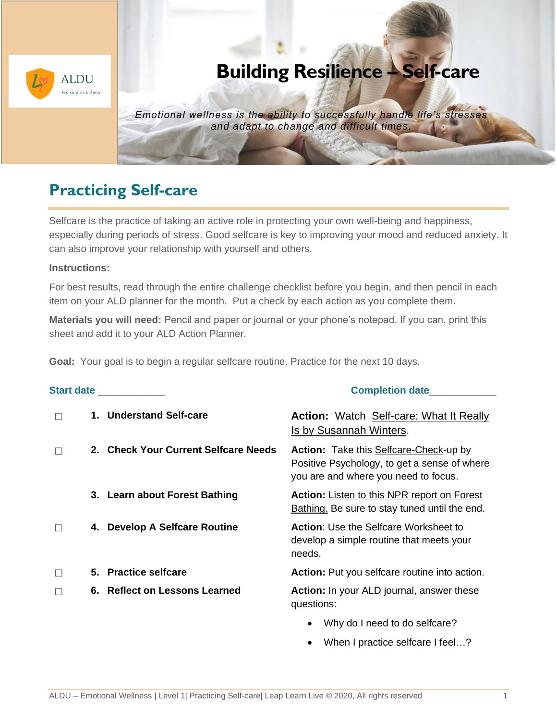

# **Building Resilience – Self-care**

*Emotional wellness is the ability to successfully handle life's stresses and adapt to change and difficult times.*

## **Practicing Self-care**

Selfcare is the practice of taking an active role in protecting your own well-being and happiness, especially during periods of stress. Good selfcare is key to improving your mood and reduced anxiety. It can also improve your relationship with yourself and others.

#### **Instructions:**

For best results, read through the entire challenge checklist before you begin, and then pencil in each item on your ALD planner for the month. Put a check by each action as you complete them.

**Materials you will need:** Pencil and paper or journal or your phone's notepad. If you can, print this sheet and add it to your ALD Action Planner.

**Goal:** Your goal is to begin a regular selfcare routine. Practice for the next 10 days.

#### **Start date** \_\_\_\_\_\_\_\_\_\_\_\_ **Completion date**\_\_\_\_\_\_\_\_\_\_\_\_

|  | 1. Understand Self-care              | <b>Action:</b> Watch Self-care: What It Really<br>Is by Susannah Winters.                                                      |
|--|--------------------------------------|--------------------------------------------------------------------------------------------------------------------------------|
|  | 2. Check Your Current Selfcare Needs | Action: Take this Selfcare-Check-up by<br>Positive Psychology, to get a sense of where<br>you are and where you need to focus. |
|  | 3. Learn about Forest Bathing        | <b>Action:</b> Listen to this NPR report on Forest<br>Bathing. Be sure to stay tuned until the end.                            |
|  | 4. Develop A Selfcare Routine        | <b>Action:</b> Use the Selfcare Worksheet to<br>develop a simple routine that meets your<br>needs.                             |
|  | 5. Practice selfcare                 | Action: Put you selfcare routine into action.                                                                                  |
|  | 6. Reflect on Lessons Learned        | <b>Action:</b> In your ALD journal, answer these<br>questions:                                                                 |
|  |                                      | Why do I need to do selfcare?                                                                                                  |

When I practice selfcare I feel...?